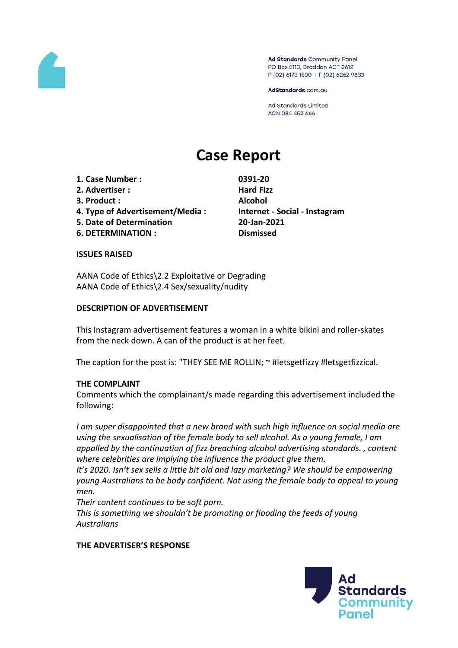

Ad Standards Community Panel PO Box 5110, Braddon ACT 2612 P (02) 6173 1500 | F (02) 6262 9833

AdStandards.com.au

**Ad Standards Limited** ACN 084 452 666

# **Case Report**

- **1. Case Number : 0391-20**
- **2. Advertiser : Hard Fizz**
- **3. Product : Alcohol**
- **4. Type of Advertisement/Media : Internet - Social - Instagram**
- **5. Date of Determination 20-Jan-2021**
- **6. DETERMINATION : Dismissed**

#### **ISSUES RAISED**

AANA Code of Ethics\2.2 Exploitative or Degrading AANA Code of Ethics\2.4 Sex/sexuality/nudity

## **DESCRIPTION OF ADVERTISEMENT**

This Instagram advertisement features a woman in a white bikini and roller-skates from the neck down. A can of the product is at her feet.

The caption for the post is: "THEY SEE ME ROLLIN; ~ #letsgetfizzy #letsgetfizzical.

# **THE COMPLAINT**

Comments which the complainant/s made regarding this advertisement included the following:

*I am super disappointed that a new brand with such high influence on social media are using the sexualisation of the female body to sell alcohol. As a young female, I am appalled by the continuation of fizz breaching alcohol advertising standards. , content where celebrities are implying the influence the product give them.*

*It's 2020. Isn't sex sells a little bit old and lazy marketing? We should be empowering young Australians to be body confident. Not using the female body to appeal to young men.*

*Their content continues to be soft porn. This is something we shouldn't be promoting or flooding the feeds of young Australians*

# **THE ADVERTISER'S RESPONSE**

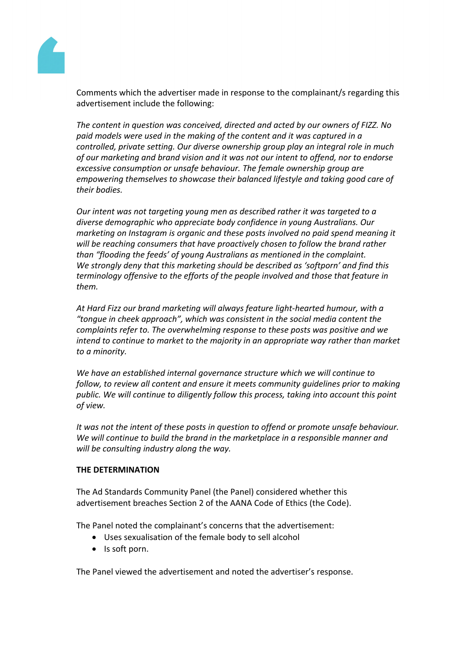

Comments which the advertiser made in response to the complainant/s regarding this advertisement include the following:

*The content in question was conceived, directed and acted by our owners of FIZZ. No paid models were used in the making of the content and it was captured in a controlled, private setting. Our diverse ownership group play an integral role in much of our marketing and brand vision and it was not our intent to offend, nor to endorse excessive consumption or unsafe behaviour. The female ownership group are empowering themselves to showcase their balanced lifestyle and taking good care of their bodies.*

*Our intent was not targeting young men as described rather it was targeted to a diverse demographic who appreciate body confidence in young Australians. Our marketing on Instagram is organic and these posts involved no paid spend meaning it will be reaching consumers that have proactively chosen to follow the brand rather than "flooding the feeds' of young Australians as mentioned in the complaint. We strongly deny that this marketing should be described as 'softporn' and find this terminology offensive to the efforts of the people involved and those that feature in them.*

*At Hard Fizz our brand marketing will always feature light-hearted humour, with a "tongue in cheek approach", which was consistent in the social media content the complaints refer to. The overwhelming response to these posts was positive and we intend to continue to market to the majority in an appropriate way rather than market to a minority.*

*We have an established internal governance structure which we will continue to follow, to review all content and ensure it meets community guidelines prior to making public. We will continue to diligently follow this process, taking into account this point of view.*

*It was not the intent of these posts in question to offend or promote unsafe behaviour. We will continue to build the brand in the marketplace in a responsible manner and will be consulting industry along the way.*

# **THE DETERMINATION**

The Ad Standards Community Panel (the Panel) considered whether this advertisement breaches Section 2 of the AANA Code of Ethics (the Code).

The Panel noted the complainant's concerns that the advertisement:

- Uses sexualisation of the female body to sell alcohol
- Is soft porn.

The Panel viewed the advertisement and noted the advertiser's response.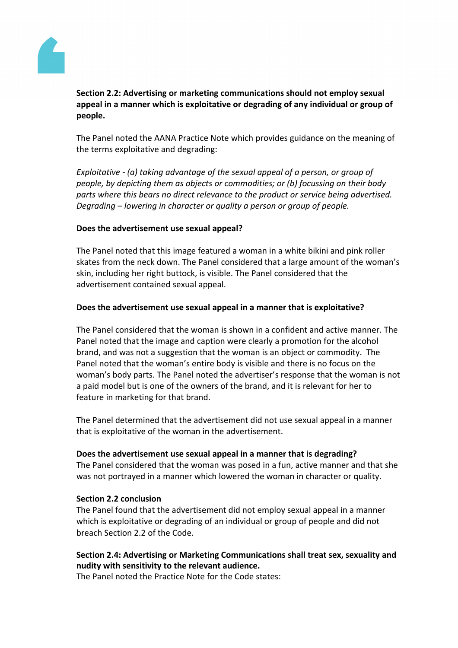

**Section 2.2: Advertising or marketing communications should not employ sexual appeal in a manner which is exploitative or degrading of any individual or group of people.**

The Panel noted the AANA Practice Note which provides guidance on the meaning of the terms exploitative and degrading:

*Exploitative - (a) taking advantage of the sexual appeal of a person, or group of people, by depicting them as objects or commodities; or (b) focussing on their body parts where this bears no direct relevance to the product or service being advertised. Degrading – lowering in character or quality a person or group of people.*

## **Does the advertisement use sexual appeal?**

The Panel noted that this image featured a woman in a white bikini and pink roller skates from the neck down. The Panel considered that a large amount of the woman's skin, including her right buttock, is visible. The Panel considered that the advertisement contained sexual appeal.

## **Does the advertisement use sexual appeal in a manner that is exploitative?**

The Panel considered that the woman is shown in a confident and active manner. The Panel noted that the image and caption were clearly a promotion for the alcohol brand, and was not a suggestion that the woman is an object or commodity. The Panel noted that the woman's entire body is visible and there is no focus on the woman's body parts. The Panel noted the advertiser's response that the woman is not a paid model but is one of the owners of the brand, and it is relevant for her to feature in marketing for that brand.

The Panel determined that the advertisement did not use sexual appeal in a manner that is exploitative of the woman in the advertisement.

#### **Does the advertisement use sexual appeal in a manner that is degrading?**

The Panel considered that the woman was posed in a fun, active manner and that she was not portrayed in a manner which lowered the woman in character or quality.

#### **Section 2.2 conclusion**

The Panel found that the advertisement did not employ sexual appeal in a manner which is exploitative or degrading of an individual or group of people and did not breach Section 2.2 of the Code.

# **Section 2.4: Advertising or Marketing Communications shall treat sex, sexuality and nudity with sensitivity to the relevant audience.**

The Panel noted the Practice Note for the Code states: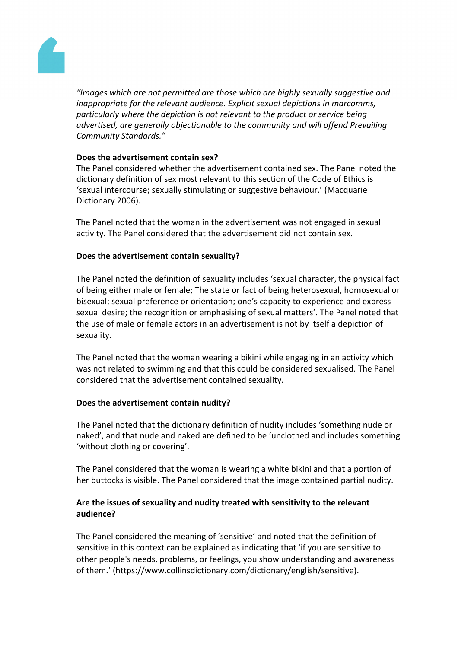

*"Images which are not permitted are those which are highly sexually suggestive and inappropriate for the relevant audience. Explicit sexual depictions in marcomms, particularly where the depiction is not relevant to the product or service being advertised, are generally objectionable to the community and will offend Prevailing Community Standards."*

## **Does the advertisement contain sex?**

The Panel considered whether the advertisement contained sex. The Panel noted the dictionary definition of sex most relevant to this section of the Code of Ethics is 'sexual intercourse; sexually stimulating or suggestive behaviour.' (Macquarie Dictionary 2006).

The Panel noted that the woman in the advertisement was not engaged in sexual activity. The Panel considered that the advertisement did not contain sex.

## **Does the advertisement contain sexuality?**

The Panel noted the definition of sexuality includes 'sexual character, the physical fact of being either male or female; The state or fact of being heterosexual, homosexual or bisexual; sexual preference or orientation; one's capacity to experience and express sexual desire; the recognition or emphasising of sexual matters'. The Panel noted that the use of male or female actors in an advertisement is not by itself a depiction of sexuality.

The Panel noted that the woman wearing a bikini while engaging in an activity which was not related to swimming and that this could be considered sexualised. The Panel considered that the advertisement contained sexuality.

#### **Does the advertisement contain nudity?**

The Panel noted that the dictionary definition of nudity includes 'something nude or naked', and that nude and naked are defined to be 'unclothed and includes something 'without clothing or covering'.

The Panel considered that the woman is wearing a white bikini and that a portion of her buttocks is visible. The Panel considered that the image contained partial nudity.

# **Are the issues of sexuality and nudity treated with sensitivity to the relevant audience?**

The Panel considered the meaning of 'sensitive' and noted that the definition of sensitive in this context can be explained as indicating that 'if you are sensitive to other people's needs, problems, or feelings, you show understanding and awareness of them.' (https://www.collinsdictionary.com/dictionary/english/sensitive).